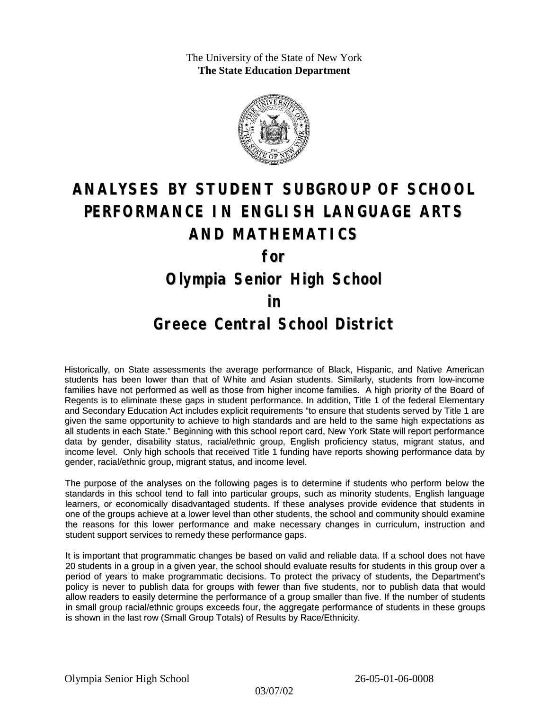The University of the State of New York **The State Education Department**



# **ANALYSES BY STUDENT SUBGROUP OF SCHOOL PERFORMANCE IN ENGLISH LANGUAGE ARTS AND MATHEMATICS for**

# **Olympia Senior High School**

### **in**

## **Greece Central School District**

Historically, on State assessments the average performance of Black, Hispanic, and Native American students has been lower than that of White and Asian students. Similarly, students from low-income families have not performed as well as those from higher income families. A high priority of the Board of Regents is to eliminate these gaps in student performance. In addition, Title 1 of the federal Elementary and Secondary Education Act includes explicit requirements "to ensure that students served by Title 1 are given the same opportunity to achieve to high standards and are held to the same high expectations as all students in each State." Beginning with this school report card, New York State will report performance data by gender, disability status, racial/ethnic group, English proficiency status, migrant status, and income level. Only high schools that received Title 1 funding have reports showing performance data by gender, racial/ethnic group, migrant status, and income level.

The purpose of the analyses on the following pages is to determine if students who perform below the standards in this school tend to fall into particular groups, such as minority students, English language learners, or economically disadvantaged students. If these analyses provide evidence that students in one of the groups achieve at a lower level than other students, the school and community should examine the reasons for this lower performance and make necessary changes in curriculum, instruction and student support services to remedy these performance gaps.

It is important that programmatic changes be based on valid and reliable data. If a school does not have 20 students in a group in a given year, the school should evaluate results for students in this group over a period of years to make programmatic decisions. To protect the privacy of students, the Department's policy is never to publish data for groups with fewer than five students, nor to publish data that would allow readers to easily determine the performance of a group smaller than five. If the number of students in small group racial/ethnic groups exceeds four, the aggregate performance of students in these groups is shown in the last row (Small Group Totals) of Results by Race/Ethnicity.

Olympia Senior High School 26-05-01-06-0008

03/07/02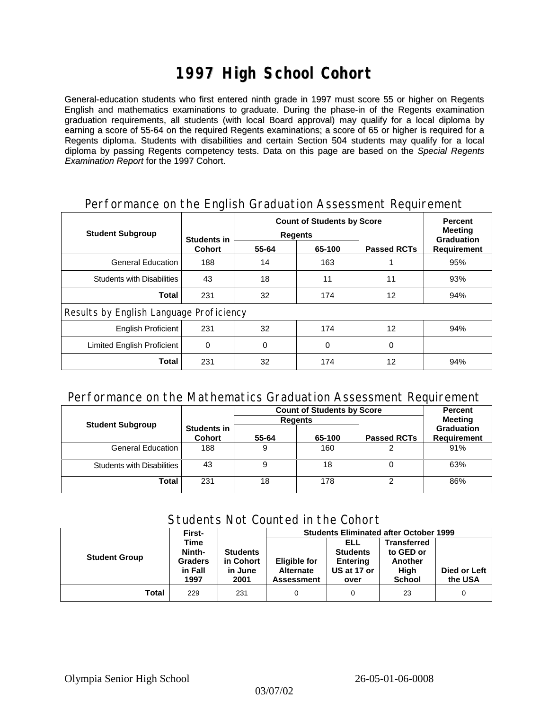# **1997 High School Cohort**

General-education students who first entered ninth grade in 1997 must score 55 or higher on Regents English and mathematics examinations to graduate. During the phase-in of the Regents examination graduation requirements, all students (with local Board approval) may qualify for a local diploma by earning a score of 55-64 on the required Regents examinations; a score of 65 or higher is required for a Regents diploma. Students with disabilities and certain Section 504 students may qualify for a local diploma by passing Regents competency tests. Data on this page are based on the *Special Regents Examination Report* for the 1997 Cohort.

|                                         | ັ                            | <b>Count of Students by Score</b> | <b>Percent</b> |                    |                                                           |  |  |
|-----------------------------------------|------------------------------|-----------------------------------|----------------|--------------------|-----------------------------------------------------------|--|--|
| <b>Student Subgroup</b>                 | Students in<br><b>Cohort</b> |                                   | <b>Regents</b> |                    | <b>Meeting</b><br><b>Graduation</b><br><b>Requirement</b> |  |  |
|                                         |                              | 55-64                             | 65-100         | <b>Passed RCTs</b> |                                                           |  |  |
| <b>General Education</b>                | 188                          | 14                                | 163            |                    | 95%                                                       |  |  |
| <b>Students with Disabilities</b>       | 43                           | 18                                | 11             | 11                 | 93%                                                       |  |  |
| <b>Total</b>                            | 231                          | 32                                | 174            | 12                 | 94%                                                       |  |  |
| Results by English Language Proficiency |                              |                                   |                |                    |                                                           |  |  |
| English Proficient                      | 231                          | 32                                | 174            | 12                 | 94%                                                       |  |  |
| Limited English Proficient              | 0                            | 0                                 | 0              | 0                  |                                                           |  |  |
| <b>Total</b>                            | 231                          | 32                                | 174            | 12                 | 94%                                                       |  |  |

### Performance on the English Graduation Assessment Requirement

#### Performance on the Mathematics Graduation Assessment Requirement

|                            |                              | <b>Count of Students by Score</b> | <b>Percent</b> |                    |                                         |
|----------------------------|------------------------------|-----------------------------------|----------------|--------------------|-----------------------------------------|
| <b>Student Subgroup</b>    |                              |                                   | <b>Regents</b> |                    | <b>Meeting</b>                          |
|                            | Students in<br><b>Cohort</b> | 55-64                             | 65-100         | <b>Passed RCTs</b> | <b>Graduation</b><br><b>Requirement</b> |
| General Education          | 188                          |                                   | 160            |                    | 91%                                     |
| Students with Disabilities | 43                           |                                   | 18             |                    | 63%                                     |
| Total                      | 231                          | 18                                | 178            | ⌒                  | 86%                                     |

### Students Not Counted in the Cohort

|                      | First-         |                 | <b>Students Eliminated after October 1999</b> |                 |               |              |  |
|----------------------|----------------|-----------------|-----------------------------------------------|-----------------|---------------|--------------|--|
|                      | Time           |                 |                                               | ELL             | Transferred   |              |  |
|                      | Ninth-         | <b>Students</b> |                                               | <b>Students</b> | to GED or     |              |  |
| <b>Student Group</b> | <b>Graders</b> | in Cohort       | <b>Eligible for</b>                           | <b>Entering</b> | Another       |              |  |
|                      | in Fall        | in June         | <b>Alternate</b>                              | US at 17 or     | High          | Died or Left |  |
|                      | 1997           | 2001            | <b>Assessment</b>                             | over            | <b>School</b> | the USA      |  |
| Total                | 229            | 231             |                                               | 0               | 23            | 0            |  |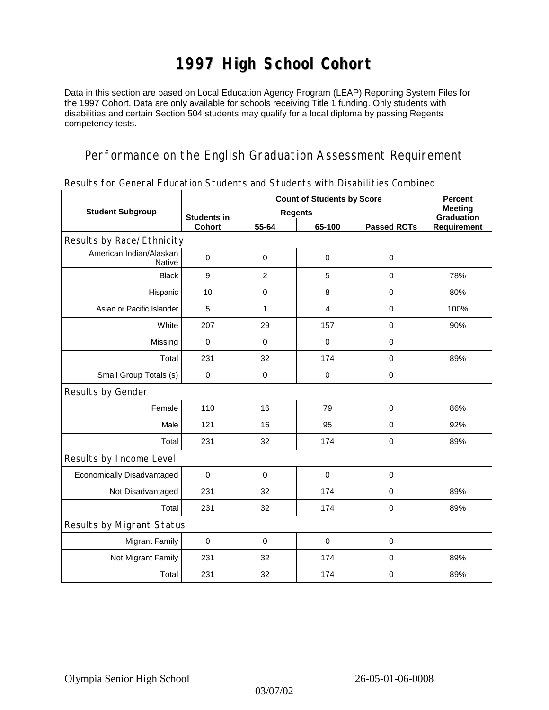# **1997 High School Cohort**

Data in this section are based on Local Education Agency Program (LEAP) Reporting System Files for the 1997 Cohort. Data are only available for schools receiving Title 1 funding. Only students with disabilities and certain Section 504 students may qualify for a local diploma by passing Regents competency tests.

### Performance on the English Graduation Assessment Requirement

|  |  |  | Results for General Education Students and Students with Disabilities Combined |  |
|--|--|--|--------------------------------------------------------------------------------|--|

|                                          |                                     | <b>Count of Students by Score</b> | <b>Percent</b> |                    |                                     |  |  |  |  |
|------------------------------------------|-------------------------------------|-----------------------------------|----------------|--------------------|-------------------------------------|--|--|--|--|
| <b>Student Subgroup</b>                  | <b>Students in</b><br><b>Cohort</b> |                                   | <b>Regents</b> |                    | <b>Meeting</b><br><b>Graduation</b> |  |  |  |  |
|                                          |                                     | 55-64                             | 65-100         | <b>Passed RCTs</b> | Requirement                         |  |  |  |  |
| Results by Race/Ethnicity                |                                     |                                   |                |                    |                                     |  |  |  |  |
| American Indian/Alaskan<br><b>Native</b> | $\mathbf 0$                         | $\mathbf 0$                       | $\mathbf 0$    | $\pmb{0}$          |                                     |  |  |  |  |
| <b>Black</b>                             | 9                                   | $\overline{2}$                    | $\overline{5}$ | 0                  | 78%                                 |  |  |  |  |
| Hispanic                                 | 10                                  | $\mathbf 0$                       | 8              | $\mathbf 0$        | 80%                                 |  |  |  |  |
| Asian or Pacific Islander                | 5                                   | 1                                 | 4              | $\mathbf 0$        | 100%                                |  |  |  |  |
| White                                    | 207                                 | 29                                | 157            | $\mathbf 0$        | 90%                                 |  |  |  |  |
| Missing                                  | $\mathbf 0$                         | $\mathbf 0$                       | $\mathbf 0$    | $\mathbf 0$        |                                     |  |  |  |  |
| Total                                    | 231                                 | 32                                | 174            | $\mathbf 0$        | 89%                                 |  |  |  |  |
| Small Group Totals (s)                   | $\mathbf 0$                         | $\pmb{0}$                         | $\pmb{0}$      | $\mathbf 0$        |                                     |  |  |  |  |
| Results by Gender                        |                                     |                                   |                |                    |                                     |  |  |  |  |
| Female                                   | 110                                 | 16                                | 79             | $\mathbf 0$        | 86%                                 |  |  |  |  |
| Male                                     | 121                                 | 16                                | 95             | $\mathbf 0$        | 92%                                 |  |  |  |  |
| Total                                    | 231                                 | 32                                | 174            | $\mathbf 0$        | 89%                                 |  |  |  |  |
| Results by Income Level                  |                                     |                                   |                |                    |                                     |  |  |  |  |
| Economically Disadvantaged               | $\mathbf 0$                         | $\mathbf 0$                       | $\mathbf 0$    | $\mathbf 0$        |                                     |  |  |  |  |
| Not Disadvantaged                        | 231                                 | 32                                | 174            | $\mathbf 0$        | 89%                                 |  |  |  |  |
| Total                                    | 231                                 | 32                                | 174            | 0                  | 89%                                 |  |  |  |  |
| Results by Migrant Status                |                                     |                                   |                |                    |                                     |  |  |  |  |
| <b>Migrant Family</b>                    | $\mathbf 0$                         | $\mathbf 0$                       | $\mathbf 0$    | $\mathbf 0$        |                                     |  |  |  |  |
| Not Migrant Family                       | 231                                 | 32                                | 174            | $\pmb{0}$          | 89%                                 |  |  |  |  |
| Total                                    | 231                                 | 32                                | 174            | $\mathbf 0$        | 89%                                 |  |  |  |  |